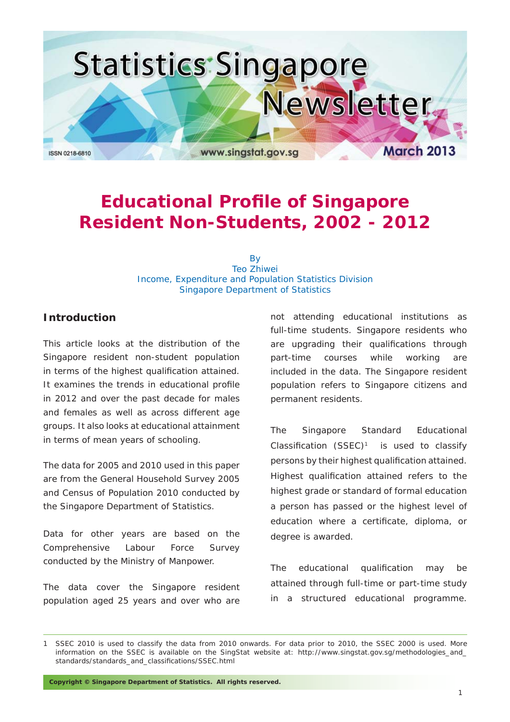

### **Educational Profile of Singapore Resident Non-Students, 2002 - 2012**

By Teo Zhiwei Income, Expenditure and Population Statistics Division Singapore Department of Statistics

#### **Introduction**

This article looks at the distribution of the Singapore resident non-student population in terms of the highest qualification attained. It examines the trends in educational profile in 2012 and over the past decade for males and females as well as across different age groups. It also looks at educational attainment in terms of mean years of schooling.

The data for 2005 and 2010 used in this paper are from the General Household Survey 2005 and Census of Population 2010 conducted by the Singapore Department of Statistics.

Data for other years are based on the Comprehensive Labour Force Survey conducted by the Ministry of Manpower.

The data cover the Singapore resident population aged 25 years and over who are not attending educational institutions as full-time students. Singapore residents who are upgrading their qualifications through part-time courses while working are included in the data. The Singapore resident population refers to Singapore citizens and permanent residents.

The Singapore Standard Educational Classification  $(SSEC)^1$  is used to classify persons by their highest qualification attained. Highest qualification attained refers to the highest grade or standard of formal education a person has passed or the highest level of education where a certificate, diploma, or degree is awarded.

The educational qualification may be attained through full-time or part-time study in a structured educational programme.

**Copyright © Singapore Department of Statistics. All rights reserved.**

SSEC 2010 is used to classify the data from 2010 onwards. For data prior to 2010, the SSEC 2000 is used. More information on the SSEC is available on the SingStat website at: http://www.singstat.gov.sg/methodologies\_and\_ standards/standards\_and\_classifications/SSEC.html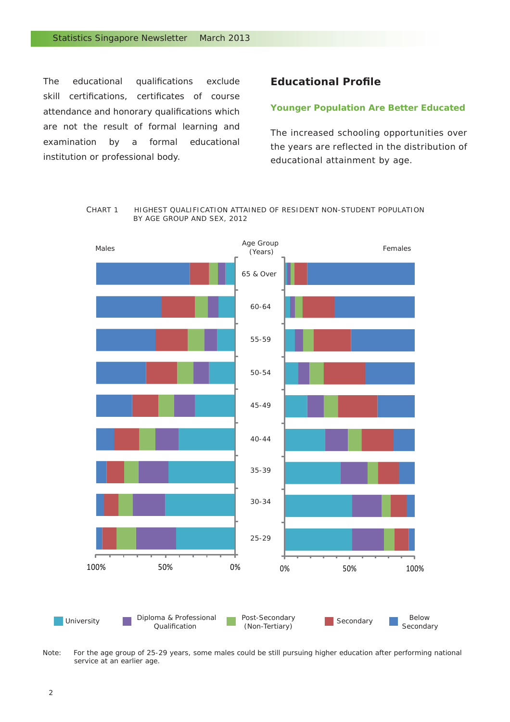The educational qualifications exclude skill certifications, certificates of course attendance and honorary qualifications which are not the result of formal learning and examination by a formal educational institution or professional body.

#### **Educational Profile**

#### *Younger Population Are Better Educated*

The increased schooling opportunities over the years are reflected in the distribution of educational attainment by age.





Note: For the age group of 25-29 years, some males could be still pursuing higher education after performing national service at an earlier age.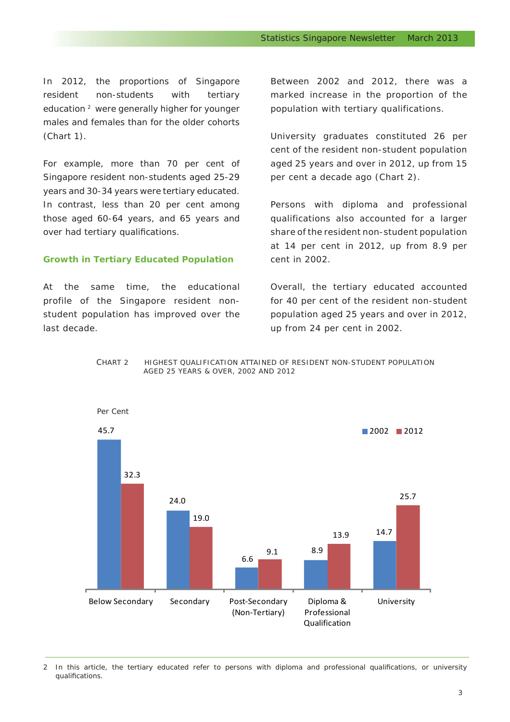In 2012, the proportions of Singapore resident non-students with tertiary education<sup>2</sup> were generally higher for younger males and females than for the older cohorts (Chart 1).

For example, more than 70 per cent of Singapore resident non-students aged 25-29 years and 30-34 years were tertiary educated. In contrast, less than 20 per cent among those aged 60-64 years, and 65 years and over had tertiary qualifications.

#### *Growth in Tertiary Educated Population*

At the same time, the educational profile of the Singapore resident nonstudent population has improved over the last decade.

Between 2002 and 2012, there was a marked increase in the proportion of the population with tertiary qualifications.

University graduates constituted 26 per cent of the resident non-student population aged 25 years and over in 2012, up from 15 per cent a decade ago (Chart 2).

Persons with diploma and professional qualifications also accounted for a larger share of the resident non-student population at 14 per cent in 2012, up from 8.9 per cent in 2002.

Overall, the tertiary educated accounted for 40 per cent of the resident non-student population aged 25 years and over in 2012, up from 24 per cent in 2002.





<sup>2</sup> In this article, the tertiary educated refer to persons with diploma and professional qualifications, or university qualifications.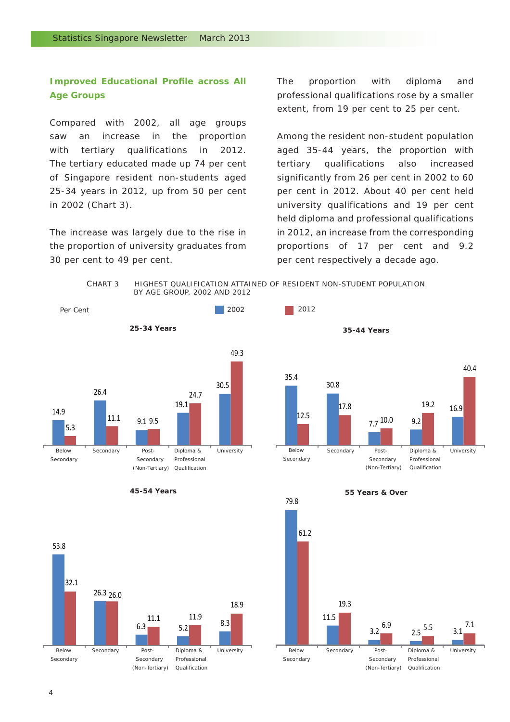#### **Improved Educational Profile across All** *Age Groups*

Compared with 2002, all age groups saw an increase in the proportion with tertiary qualifications in 2012. The tertiary educated made up 74 per cent of Singapore resident non-students aged 25-34 years in 2012, up from 50 per cent in 2002 (Chart 3).

The increase was largely due to the rise in the proportion of university graduates from 30 per cent to 49 per cent.

The proportion with diploma and professional qualifications rose by a smaller extent, from 19 per cent to 25 per cent.

Among the resident non-student population aged 35-44 years, the proportion with tertiary qualifications also increased significantly from 26 per cent in 2002 to 60 per cent in 2012. About 40 per cent held university qualifications and 19 per cent held diploma and professional qualifications in 2012, an increase from the corresponding proportions of 17 per cent and 9.2 per cent respectively a decade ago.











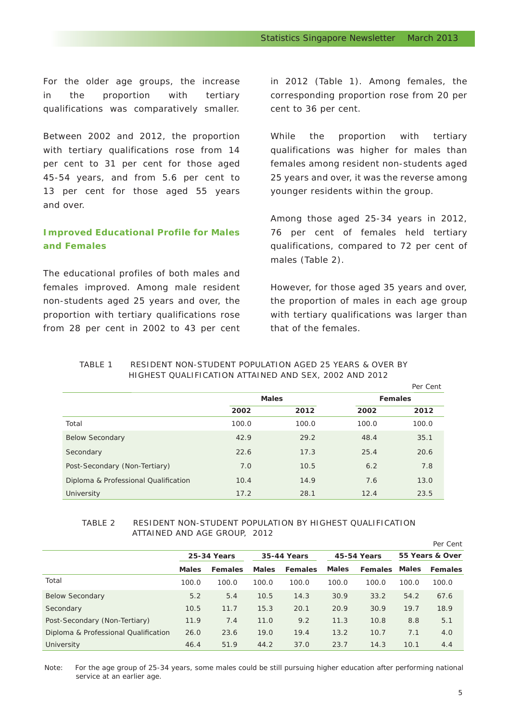For the older age groups, the increase in the proportion with tertiary qualifications was comparatively smaller.

Between 2002 and 2012, the proportion with tertiary qualifications rose from 14 per cent to 31 per cent for those aged 45-54 years, and from 5.6 per cent to 13 per cent for those aged 55 years and over.

#### *Improved Educational Profile for Males and Females*

The educational profiles of both males and females improved. Among male resident non-students aged 25 years and over, the proportion with tertiary qualifications rose from 28 per cent in 2002 to 43 per cent in 2012 (Table 1). Among females, the corresponding proportion rose from 20 per cent to 36 per cent.

While the proportion with tertiary qualifications was higher for males than females among resident non-students aged 25 years and over, it was the reverse among younger residents within the group.

Among those aged 25-34 years in 2012, 76 per cent of females held tertiary qualifications, compared to 72 per cent of males (Table 2).

However, for those aged 35 years and over, the proportion of males in each age group with tertiary qualifications was larger than that of the females.

#### TABLE 1 RESIDENT NON-STUDENT POPULATION AGED 25 YEARS & OVER BY HIGHEST QUALIFICATION ATTAINED AND SEX, 2002 AND 2012

|                                      |              |       |                | Per Cent |
|--------------------------------------|--------------|-------|----------------|----------|
|                                      | <b>Males</b> |       | <b>Females</b> |          |
|                                      | 2002         | 2012  | 2002           | 2012     |
| Total                                | 100.0        | 100.0 | 100.0          | 100.0    |
| <b>Below Secondary</b>               | 42.9         | 29.2  | 48.4           | 35.1     |
| Secondary                            | 22.6         | 17.3  | 25.4           | 20.6     |
| Post-Secondary (Non-Tertiary)        | 7.0          | 10.5  | 6.2            | 7.8      |
| Diploma & Professional Qualification | 10.4         | 14.9  | 7.6            | 13.0     |
| University                           | 17.2         | 28.1  | 12.4           | 23.5     |

#### TABLE 2 RESIDENT NON-STUDENT POPULATION BY HIGHEST QUALIFICATION ATTAINED AND AGE GROUP, 2012

|                                      |                    |                |              |         |              |                |                 | Per Cent       |
|--------------------------------------|--------------------|----------------|--------------|---------|--------------|----------------|-----------------|----------------|
|                                      | <b>25-34 Years</b> |                | 35-44 Years  |         | 45-54 Years  |                | 55 Years & Over |                |
|                                      | <b>Males</b>       | <b>Females</b> | <b>Males</b> | Females | <b>Males</b> | <b>Females</b> | <b>Males</b>    | <b>Females</b> |
| Total                                | 100.0              | 100.0          | 100.0        | 100.0   | 100.0        | 100.0          | 100.0           | 100.0          |
| <b>Below Secondary</b>               | 5.2                | 5.4            | 10.5         | 14.3    | 30.9         | 33.2           | 54.2            | 67.6           |
| Secondary                            | 10.5               | 11.7           | 15.3         | 20.1    | 20.9         | 30.9           | 19.7            | 18.9           |
| Post-Secondary (Non-Tertiary)        | 11.9               | 7.4            | 11.0         | 9.2     | 11.3         | 10.8           | 8.8             | 5.1            |
| Diploma & Professional Qualification | 26.0               | 23.6           | 19.0         | 19.4    | 13.2         | 10.7           | 7.1             | 4.0            |
| University                           | 46.4               | 51.9           | 44.2         | 37.0    | 23.7         | 14.3           | 10.1            | 4.4            |

Note: For the age group of 25-34 years, some males could be still pursuing higher education after performing national service at an earlier age.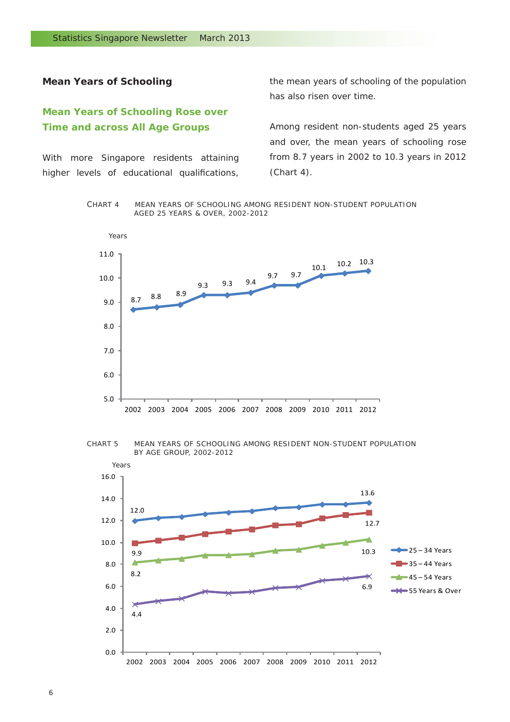#### **Mean Years of Schooling**

#### *Mean Years of Schooling Rose over Time and across All Age Groups*

With more Singapore residents attaining higher levels of educational qualifications, the mean years of schooling of the population has also risen over time.

Among resident non-students aged 25 years and over, the mean years of schooling rose from 8.7 years in 2002 to 10.3 years in 2012 (Chart 4).

CHART 4 MEAN YEARS OF SCHOOLING AMONG RESIDENT NON-STUDENT POPULATION AGED 25 YEARS & OVER, 2002-2012







6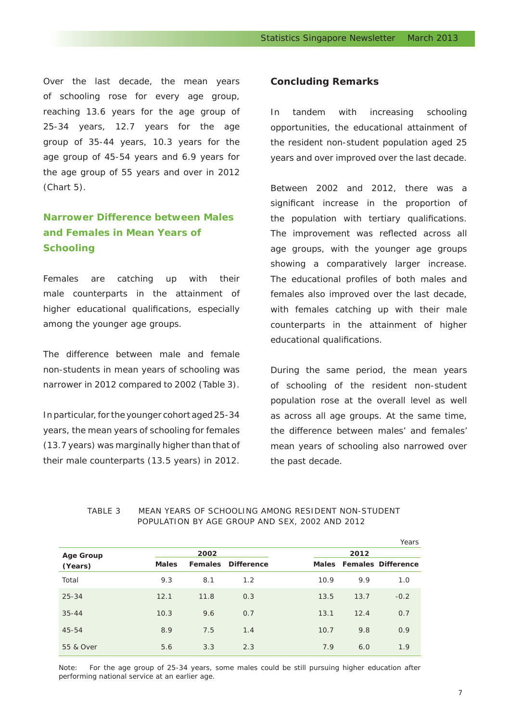Over the last decade, the mean years of schooling rose for every age group, reaching 13.6 years for the age group of 25-34 years, 12.7 years for the age group of 35-44 years, 10.3 years for the age group of 45-54 years and 6.9 years for the age group of 55 years and over in 2012 (Chart 5).

#### *Narrower Difference between Males and Females in Mean Years of Schooling*

Females are catching up with their male counterparts in the attainment of higher educational qualifications, especially among the younger age groups.

The difference between male and female non-students in mean years of schooling was narrower in 2012 compared to 2002 (Table 3).

In particular, for the younger cohort aged 25-34 years, the mean years of schooling for females (13.7 years) was marginally higher than that of their male counterparts (13.5 years) in 2012.

#### **Concluding Remarks**

In tandem with increasing schooling opportunities, the educational attainment of the resident non-student population aged 25 years and over improved over the last decade.

Between 2002 and 2012, there was a significant increase in the proportion of the population with tertiary qualifications. The improvement was reflected across all age groups, with the younger age groups showing a comparatively larger increase. The educational profiles of both males and females also improved over the last decade, with females catching up with their male counterparts in the attainment of higher educational qualifications.

During the same period, the mean years of schooling of the resident non-student population rose at the overall level as well as across all age groups. At the same time, the difference between males' and females' mean years of schooling also narrowed over the past decade.

|                             |              |      |                           |      |      | Years                    |  |
|-----------------------------|--------------|------|---------------------------|------|------|--------------------------|--|
| <b>Age Group</b><br>(Years) |              | 2002 |                           | 2012 |      |                          |  |
|                             | <b>Males</b> |      | <b>Females Difference</b> |      |      | Males Females Difference |  |
| Total                       | 9.3          | 8.1  | 1.2                       | 10.9 | 9.9  | 1.0                      |  |
| $25 - 34$                   | 12.1         | 11.8 | 0.3                       | 13.5 | 13.7 | $-0.2$                   |  |
| $35 - 44$                   | 10.3         | 9.6  | 0.7                       | 13.1 | 12.4 | 0.7                      |  |
| 45-54                       | 8.9          | 7.5  | 1.4                       | 10.7 | 9.8  | 0.9                      |  |
| 55 & Over                   | 5.6          | 3.3  | 2.3                       | 7.9  | 6.0  | 1.9                      |  |

#### TABLE 3 MEAN YEARS OF SCHOOLING AMONG RESIDENT NON-STUDENT POPULATION BY AGE GROUP AND SEX, 2002 AND 2012

Note: For the age group of 25-34 years, some males could be still pursuing higher education after performing national service at an earlier age.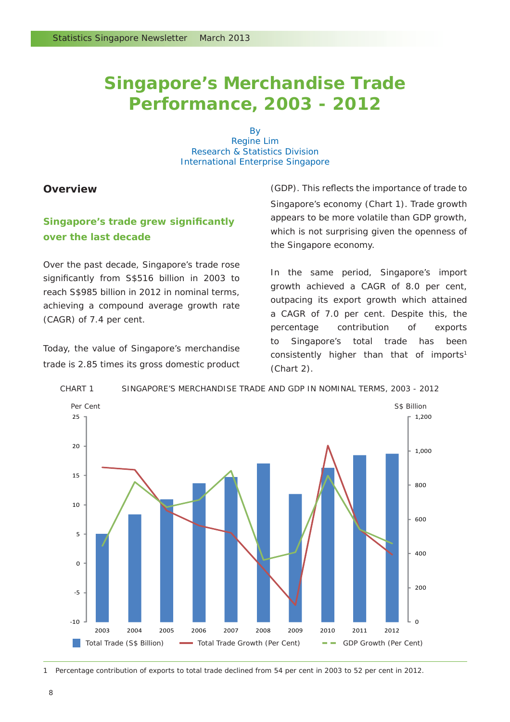### **Singapore's Merchandise Trade Performance, 2003 - 2012**

By Regine Lim Research & Statistics Division International Enterprise Singapore

#### **Overview**

#### **Singapore's trade grew significantly** *over the last decade*

Over the past decade, Singapore's trade rose significantly from S\$516 billion in 2003 to reach S\$985 billion in 2012 in nominal terms, achieving a compound average growth rate (CAGR) of 7.4 per cent.

Today, the value of Singapore's merchandise trade is 2.85 times its gross domestic product (GDP). This reflects the importance of trade to Singapore's economy (Chart 1). Trade growth appears to be more volatile than GDP growth, which is not surprising given the openness of the Singapore economy.

In the same period, Singapore's import growth achieved a CAGR of 8.0 per cent, outpacing its export growth which attained a CAGR of 7.0 per cent. Despite this, the percentage contribution of exports to Singapore's total trade has been consistently higher than that of imports<sup>1</sup> (Chart 2).



CHART 1 SINGAPORE'S MERCHANDISE TRADE AND GDP IN NOMINAL TERMS, 2003 - 2012

1 Percentage contribution of exports to total trade declined from 54 per cent in 2003 to 52 per cent in 2012.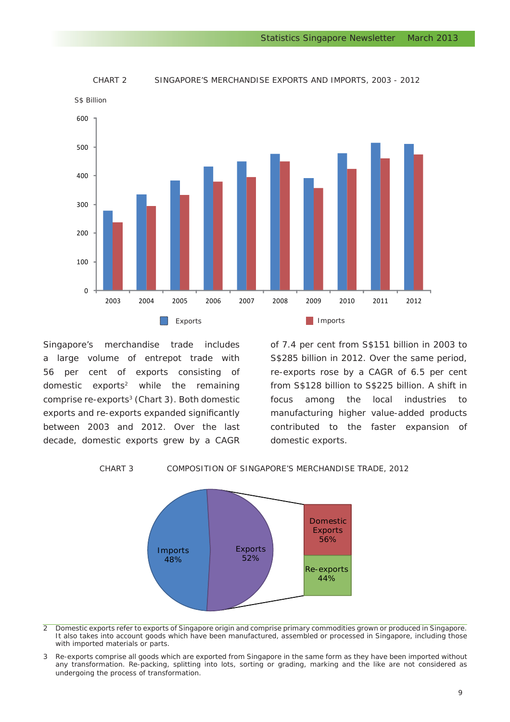

#### CHART 2 SINGAPORE'S MERCHANDISE EXPORTS AND IMPORTS, 2003 - 2012

Singapore's merchandise trade includes a large volume of entrepot trade with 56 per cent of exports consisting of domestic exports2 while the remaining comprise re-exports<sup>3</sup> (Chart 3). Both domestic exports and re-exports expanded significantly between 2003 and 2012. Over the last decade, domestic exports grew by a CAGR of 7.4 per cent from S\$151 billion in 2003 to S\$285 billion in 2012. Over the same period, re-exports rose by a CAGR of 6.5 per cent from S\$128 billion to S\$225 billion. A shift in focus among the local industries to manufacturing higher value-added products contributed to the faster expansion of domestic exports.

CHART 3 COMPOSITION OF SINGAPORE'S MERCHANDISE TRADE, 2012



2 Domestic exports refer to exports of Singapore origin and comprise primary commodities grown or produced in Singapore. It also takes into account goods which have been manufactured, assembled or processed in Singapore, including those with imported materials or parts.

3 Re-exports comprise all goods which are exported from Singapore in the same form as they have been imported without any transformation. Re-packing, splitting into lots, sorting or grading, marking and the like are not considered as undergoing the process of transformation.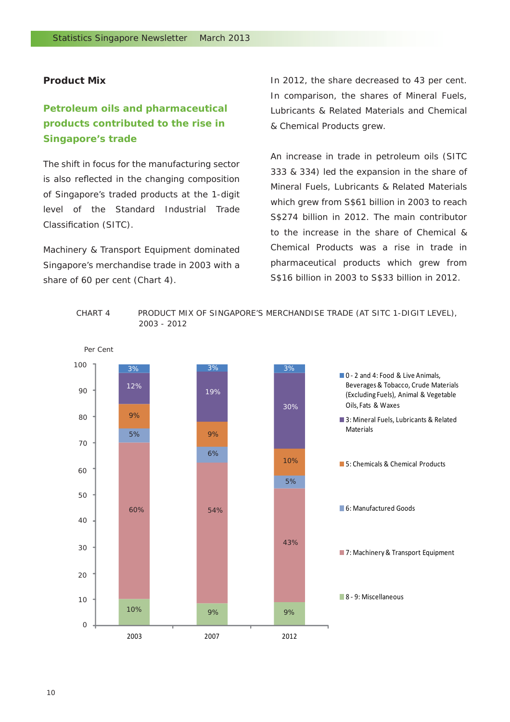#### **Product Mix**

### *Petroleum oils and pharmaceutical products contributed to the rise in Singapore's trade*

The shift in focus for the manufacturing sector is also reflected in the changing composition of Singapore's traded products at the 1-digit level of the Standard Industrial Trade Classification (SITC).

Machinery & Transport Equipment dominated Singapore's merchandise trade in 2003 with a share of 60 per cent (Chart 4).

In 2012, the share decreased to 43 per cent. In comparison, the shares of Mineral Fuels, Lubricants & Related Materials and Chemical & Chemical Products grew.

An increase in trade in petroleum oils (SITC 333 & 334) led the expansion in the share of Mineral Fuels, Lubricants & Related Materials which grew from S\$61 billion in 2003 to reach S\$274 billion in 2012. The main contributor to the increase in the share of Chemical & Chemical Products was a rise in trade in pharmaceutical products which grew from S\$16 billion in 2003 to S\$33 billion in 2012.



#### CHART 4 PRODUCT MIX OF SINGAPORE'S MERCHANDISE TRADE (AT SITC 1-DIGIT LEVEL), 2003 - 2012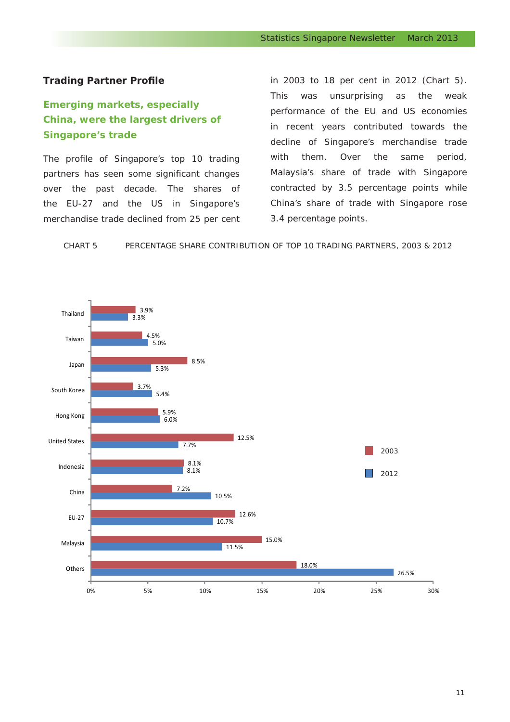#### **Trading Partner Profile**

### *Emerging markets, especially China, were the largest drivers of Singapore's trade*

The profile of Singapore's top 10 trading partners has seen some significant changes over the past decade. The shares of the EU-27 and the US in Singapore's merchandise trade declined from 25 per cent in 2003 to 18 per cent in 2012 (Chart 5). This was unsurprising as the weak performance of the EU and US economies in recent years contributed towards the decline of Singapore's merchandise trade with them. Over the same period, Malaysia's share of trade with Singapore contracted by 3.5 percentage points while China's share of trade with Singapore rose 3.4 percentage points.

CHART 5 PERCENTAGE SHARE CONTRIBUTION OF TOP 10 TRADING PARTNERS, 2003 & 2012

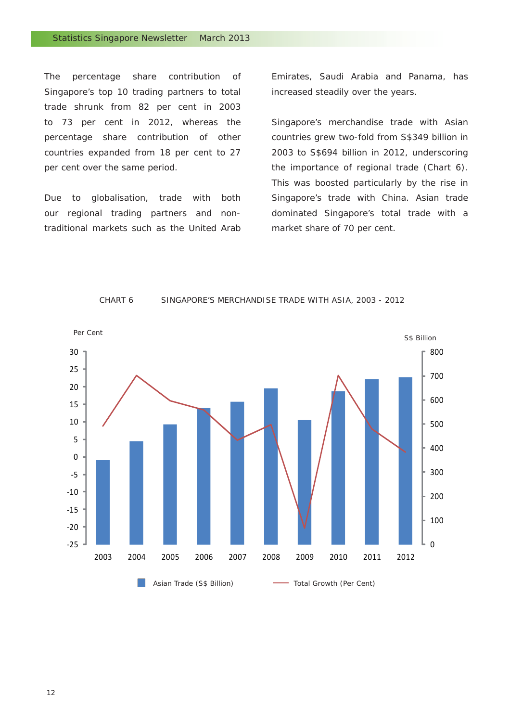The percentage share contribution of Singapore's top 10 trading partners to total trade shrunk from 82 per cent in 2003 to 73 per cent in 2012, whereas the percentage share contribution of other countries expanded from 18 per cent to 27 per cent over the same period.

Due to globalisation, trade with both our regional trading partners and nontraditional markets such as the United Arab

Emirates, Saudi Arabia and Panama, has increased steadily over the years.

Singapore's merchandise trade with Asian countries grew two-fold from S\$349 billion in 2003 to S\$694 billion in 2012, underscoring the importance of regional trade (Chart 6). This was boosted particularly by the rise in Singapore's trade with China. Asian trade dominated Singapore's total trade with a market share of 70 per cent.



#### CHART 6 SINGAPORE'S MERCHANDISE TRADE WITH ASIA, 2003 - 2012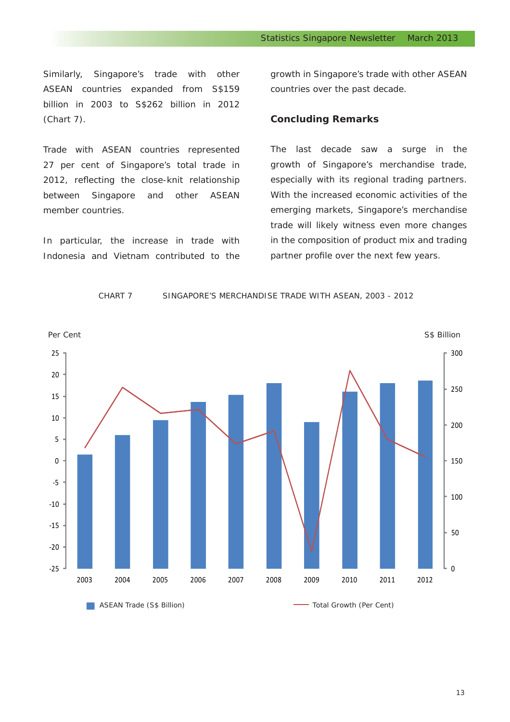Similarly, Singapore's trade with other ASEAN countries expanded from S\$159 billion in 2003 to S\$262 billion in 2012 (Chart 7).

Trade with ASEAN countries represented 27 per cent of Singapore's total trade in 2012, reflecting the close-knit relationship between Singapore and other ASEAN member countries.

In particular, the increase in trade with Indonesia and Vietnam contributed to the

growth in Singapore's trade with other ASEAN countries over the past decade.

#### **Concluding Remarks**

The last decade saw a surge in the growth of Singapore's merchandise trade, especially with its regional trading partners. With the increased economic activities of the emerging markets, Singapore's merchandise trade will likely witness even more changes in the composition of product mix and trading partner profile over the next few years.

#### CHART 7 SINGAPORE'S MERCHANDISE TRADE WITH ASEAN, 2003 - 2012



13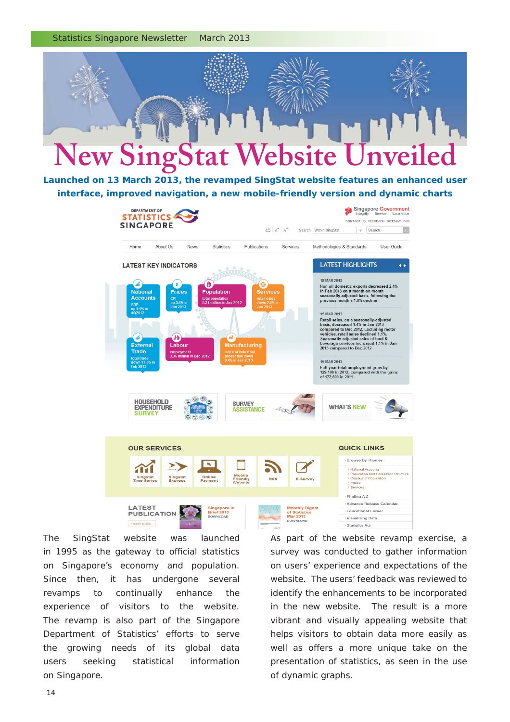Statistics Singapore Newsletter March 2013



*Launched on 13 March 2013, the revamped SingStat website features an enhanced user interface, improved navigation, a new mobile-friendly version and dynamic charts*



The SingStat website was launched in 1995 as the gateway to official statistics on Singapore's economy and population. Since then, it has undergone several revamps to continually enhance the experience of visitors to the website. The revamp is also part of the Singapore Department of Statistics' efforts to serve the growing needs of its global data users seeking statistical information on Singapore.

As part of the website revamp exercise, a survey was conducted to gather information on users' experience and expectations of the website. The users' feedback was reviewed to identify the enhancements to be incorporated in the new website. The result is a more vibrant and visually appealing website that helps visitors to obtain data more easily as well as offers a more unique take on the presentation of statistics, as seen in the use of dynamic graphs.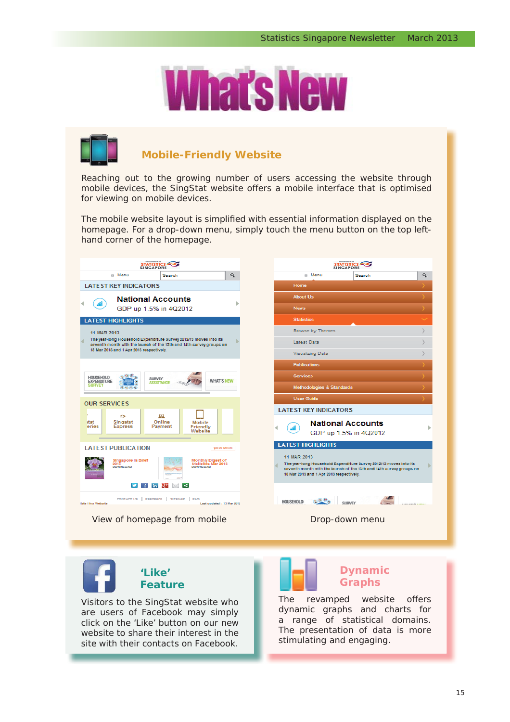



#### **Mobile-Friendly Website**

Reaching out to the growing number of users accessing the website through mobile devices, the SingStat website offers a mobile interface that is optimised for viewing on mobile devices.

The mobile website layout is simplified with essential information displayed on the homepage. For a drop-down menu, simply touch the menu button on the top lefthand corner of the homepage.



**'Like' Feature**

Visitors to the SingStat website who are users of Facebook may simply click on the 'Like' button on our new website to share their interest in the site with their contacts on Facebook.



#### **Dynamic Graphs**

The revamped website offers dynamic graphs and charts for a range of statistical domains. The presentation of data is more stimulating and engaging.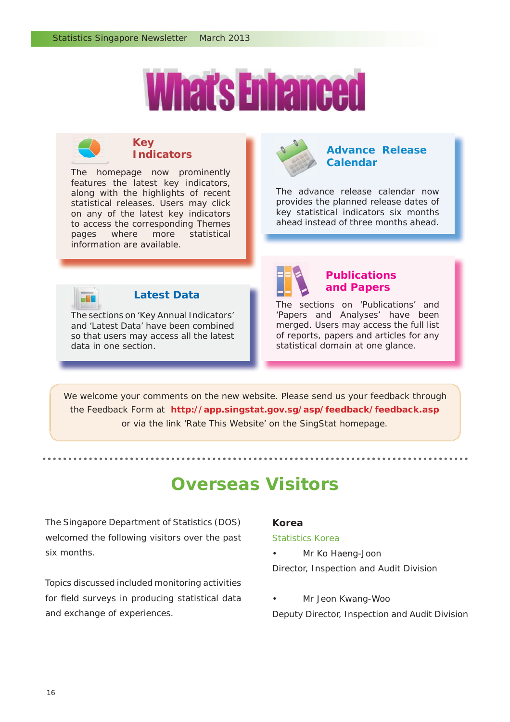



#### **Key Indicators**

The homepage now prominently The home features the latest key indicators, along with the highlights of recent statistical releases. Users may click on any of the latest key indicators to access the corresponding Themes pages where more statistical information are available.



#### **Advance Release Calendar**

The advance release calendar now provides the planned release dates of key statistical indicators six months ahead instead of three months ahead.



#### **Latest Data**

The sections on 'Key Annual Indicators' The sect and 'Latest Data' have been combined so that users may access all the latest data in one section.



### **Publications and Papers**

The sections on 'Publications' and 'Papers and Analyses' have been merged. Users may access the full list of reports, papers and articles for any statistical domain at one glance.

We welcome your comments on the new website. Please send us your feedback through the Feedback Form at **http://app.singstat.gov.sg/asp/feedback/feedback.asp**  or via the link 'Rate This Website' on the SingStat homepage.

## **Overseas Visitors**

The Singapore Department of Statistics (DOS) welcomed the following visitors over the past six months.

Topics discussed included monitoring activities for field surveys in producing statistical data and exchange of experiences.

#### **Korea**

#### *Statistics Korea*

- Mr Ko Haeng-Joon Director, Inspection and Audit Division
- Mr Jeon Kwang-Woo Deputy Director, Inspection and Audit Division